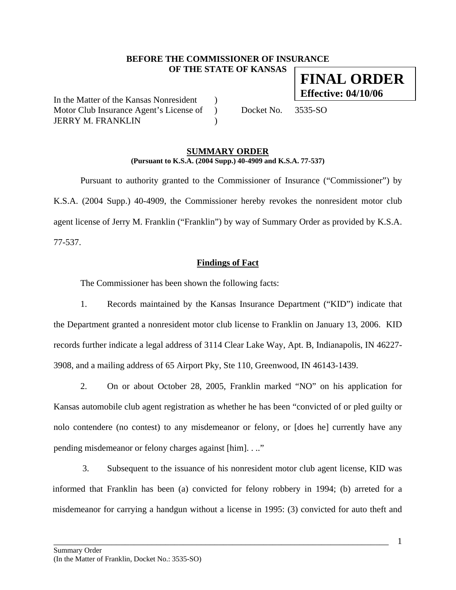### **BEFORE THE COMMISSIONER OF INSURANCE OF THE STATE OF KANSAS FINAL ORDER**

In the Matter of the Kansas Nonresident ) Motor Club Insurance Agent's License of ) Docket No. 3535-SO JERRY M. FRANKLIN )

**Effective: 04/10/06**

#### **SUMMARY ORDER (Pursuant to K.S.A. (2004 Supp.) 40-4909 and K.S.A. 77-537)**

 Pursuant to authority granted to the Commissioner of Insurance ("Commissioner") by K.S.A. (2004 Supp.) 40-4909, the Commissioner hereby revokes the nonresident motor club agent license of Jerry M. Franklin ("Franklin") by way of Summary Order as provided by K.S.A. 77-537.

## **Findings of Fact**

The Commissioner has been shown the following facts:

1. Records maintained by the Kansas Insurance Department ("KID") indicate that the Department granted a nonresident motor club license to Franklin on January 13, 2006. KID records further indicate a legal address of 3114 Clear Lake Way, Apt. B, Indianapolis, IN 46227- 3908, and a mailing address of 65 Airport Pky, Ste 110, Greenwood, IN 46143-1439.

2. On or about October 28, 2005, Franklin marked "NO" on his application for Kansas automobile club agent registration as whether he has been "convicted of or pled guilty or nolo contendere (no contest) to any misdemeanor or felony, or [does he] currently have any pending misdemeanor or felony charges against [him]. . .."

3. Subsequent to the issuance of his nonresident motor club agent license, KID was informed that Franklin has been (a) convicted for felony robbery in 1994; (b) arreted for a misdemeanor for carrying a handgun without a license in 1995: (3) convicted for auto theft and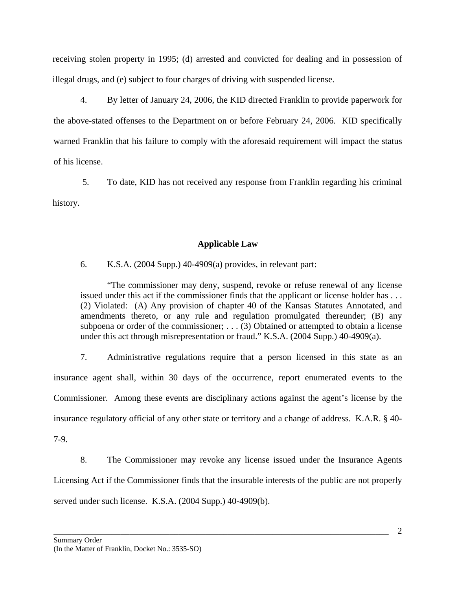receiving stolen property in 1995; (d) arrested and convicted for dealing and in possession of illegal drugs, and (e) subject to four charges of driving with suspended license.

4. By letter of January 24, 2006, the KID directed Franklin to provide paperwork for the above-stated offenses to the Department on or before February 24, 2006. KID specifically warned Franklin that his failure to comply with the aforesaid requirement will impact the status of his license.

5. To date, KID has not received any response from Franklin regarding his criminal history.

# **Applicable Law**

6. K.S.A. (2004 Supp.) 40-4909(a) provides, in relevant part:

"The commissioner may deny, suspend, revoke or refuse renewal of any license issued under this act if the commissioner finds that the applicant or license holder has . . . (2) Violated: (A) Any provision of chapter 40 of the Kansas Statutes Annotated, and amendments thereto, or any rule and regulation promulgated thereunder; (B) any subpoena or order of the commissioner; . . . (3) Obtained or attempted to obtain a license under this act through misrepresentation or fraud." K.S.A. (2004 Supp.) 40-4909(a).

7. Administrative regulations require that a person licensed in this state as an insurance agent shall, within 30 days of the occurrence, report enumerated events to the Commissioner. Among these events are disciplinary actions against the agent's license by the insurance regulatory official of any other state or territory and a change of address. K.A.R. § 40-

7-9.

8. The Commissioner may revoke any license issued under the Insurance Agents Licensing Act if the Commissioner finds that the insurable interests of the public are not properly served under such license. K.S.A. (2004 Supp.) 40-4909(b).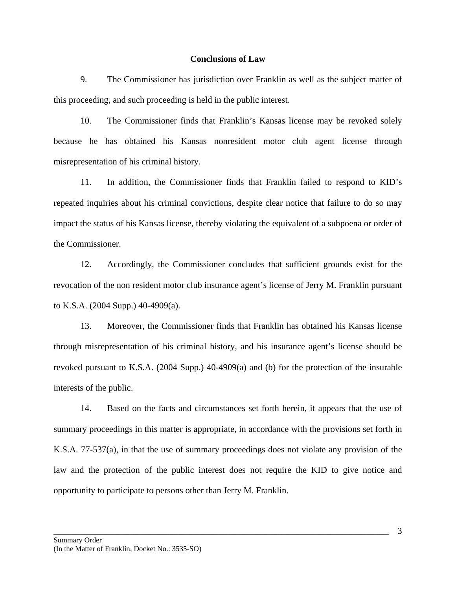#### **Conclusions of Law**

9. The Commissioner has jurisdiction over Franklin as well as the subject matter of this proceeding, and such proceeding is held in the public interest.

10. The Commissioner finds that Franklin's Kansas license may be revoked solely because he has obtained his Kansas nonresident motor club agent license through misrepresentation of his criminal history.

11. In addition, the Commissioner finds that Franklin failed to respond to KID's repeated inquiries about his criminal convictions, despite clear notice that failure to do so may impact the status of his Kansas license, thereby violating the equivalent of a subpoena or order of the Commissioner.

12. Accordingly, the Commissioner concludes that sufficient grounds exist for the revocation of the non resident motor club insurance agent's license of Jerry M. Franklin pursuant to K.S.A. (2004 Supp.) 40-4909(a).

13. Moreover, the Commissioner finds that Franklin has obtained his Kansas license through misrepresentation of his criminal history, and his insurance agent's license should be revoked pursuant to K.S.A. (2004 Supp.) 40-4909(a) and (b) for the protection of the insurable interests of the public.

14. Based on the facts and circumstances set forth herein, it appears that the use of summary proceedings in this matter is appropriate, in accordance with the provisions set forth in K.S.A. 77-537(a), in that the use of summary proceedings does not violate any provision of the law and the protection of the public interest does not require the KID to give notice and opportunity to participate to persons other than Jerry M. Franklin.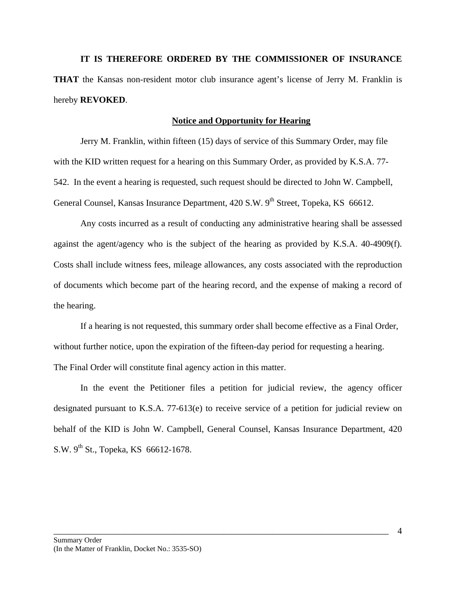**IT IS THEREFORE ORDERED BY THE COMMISSIONER OF INSURANCE THAT** the Kansas non-resident motor club insurance agent's license of Jerry M. Franklin is hereby **REVOKED**.

#### **Notice and Opportunity for Hearing**

Jerry M. Franklin, within fifteen (15) days of service of this Summary Order, may file with the KID written request for a hearing on this Summary Order, as provided by K.S.A. 77- 542. In the event a hearing is requested, such request should be directed to John W. Campbell, General Counsel, Kansas Insurance Department, 420 S.W. 9<sup>th</sup> Street, Topeka, KS 66612.

 Any costs incurred as a result of conducting any administrative hearing shall be assessed against the agent/agency who is the subject of the hearing as provided by K.S.A. 40-4909(f). Costs shall include witness fees, mileage allowances, any costs associated with the reproduction of documents which become part of the hearing record, and the expense of making a record of the hearing.

If a hearing is not requested, this summary order shall become effective as a Final Order, without further notice, upon the expiration of the fifteen-day period for requesting a hearing. The Final Order will constitute final agency action in this matter.

In the event the Petitioner files a petition for judicial review, the agency officer designated pursuant to K.S.A. 77-613(e) to receive service of a petition for judicial review on behalf of the KID is John W. Campbell, General Counsel, Kansas Insurance Department, 420 S.W.  $9^{th}$  St., Topeka, KS 66612-1678.